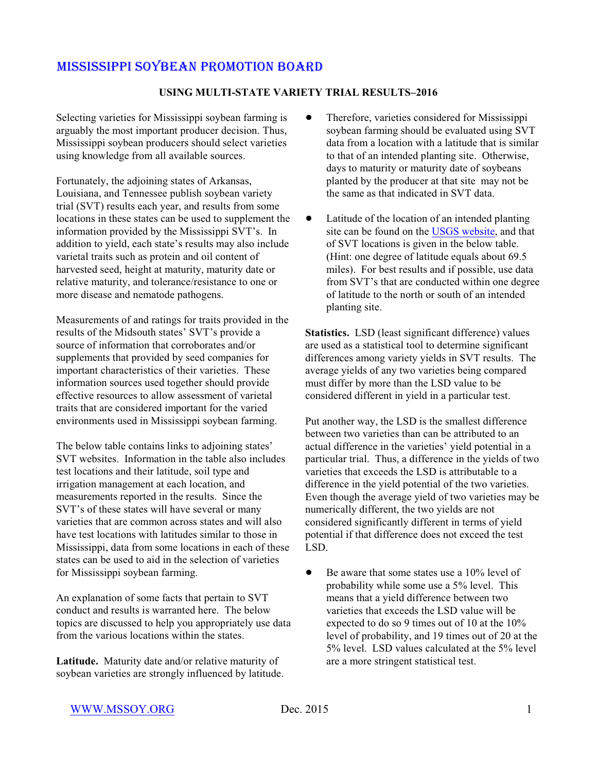#### **USING MULTI-STATE VARIETY TRIAL RESULTS–2016**

Selecting varieties for Mississippi soybean farming is arguably the most important producer decision. Thus, Mississippi soybean producers should select varieties using knowledge from all available sources.

Fortunately, the adjoining states of Arkansas, Louisiana, and Tennessee publish soybean variety trial (SVT) results each year, and results from some locations in these states can be used to supplement the information provided by the Mississippi SVT's. In addition to yield, each state's results may also include varietal traits such as protein and oil content of harvested seed, height at maturity, maturity date or relative maturity, and tolerance/resistance to one or more disease and nematode pathogens.

Measurements of and ratings for traits provided in the results of the Midsouth states' SVT's provide a source of information that corroborates and/or supplements that provided by seed companies for important characteristics of their varieties. These information sources used together should provide effective resources to allow assessment of varietal traits that are considered important for the varied environments used in Mississippi soybean farming.

The below table contains links to adjoining states' SVT websites. Information in the table also includes test locations and their latitude, soil type and irrigation management at each location, and measurements reported in the results. Since the SVT's of these states will have several or many varieties that are common across states and will also have test locations with latitudes similar to those in Mississippi, data from some locations in each of these states can be used to aid in the selection of varieties for Mississippi soybean farming.

An explanation of some facts that pertain to SVT conduct and results is warranted here. The below topics are discussed to help you appropriately use data from the various locations within the states.

**Latitude.** Maturity date and/or relative maturity of soybean varieties are strongly influenced by latitude.

- Therefore, varieties considered for Mississippi soybean farming should be evaluated using SVT data from a location with a latitude that is similar to that of an intended planting site. Otherwise, days to maturity or maturity date of soybeans planted by the producer at that site may not be the same as that indicated in SVT data.
- Latitude of the location of an intended planting site can be found on the [USGS website](http://geonames.usgs.gov/apex/f?p=136:1:0:::::), and that of SVT locations is given in the below table. (Hint: one degree of latitude equals about 69.5 miles). For best results and if possible, use data from SVT's that are conducted within one degree of latitude to the north or south of an intended planting site.

**Statistics.** LSD (least significant difference) values are used as a statistical tool to determine significant differences among variety yields in SVT results. The average yields of any two varieties being compared must differ by more than the LSD value to be considered different in yield in a particular test.

Put another way, the LSD is the smallest difference between two varieties than can be attributed to an actual difference in the varieties' yield potential in a particular trial. Thus, a difference in the yields of two varieties that exceeds the LSD is attributable to a difference in the yield potential of the two varieties. Even though the average yield of two varieties may be numerically different, the two yields are not considered significantly different in terms of yield potential if that difference does not exceed the test LSD.

 $\bullet$  Be aware that some states use a 10% level of probability while some use a 5% level. This means that a yield difference between two varieties that exceeds the LSD value will be expected to do so 9 times out of 10 at the 10% level of probability, and 19 times out of 20 at the 5% level. LSD values calculated at the 5% level are a more stringent statistical test.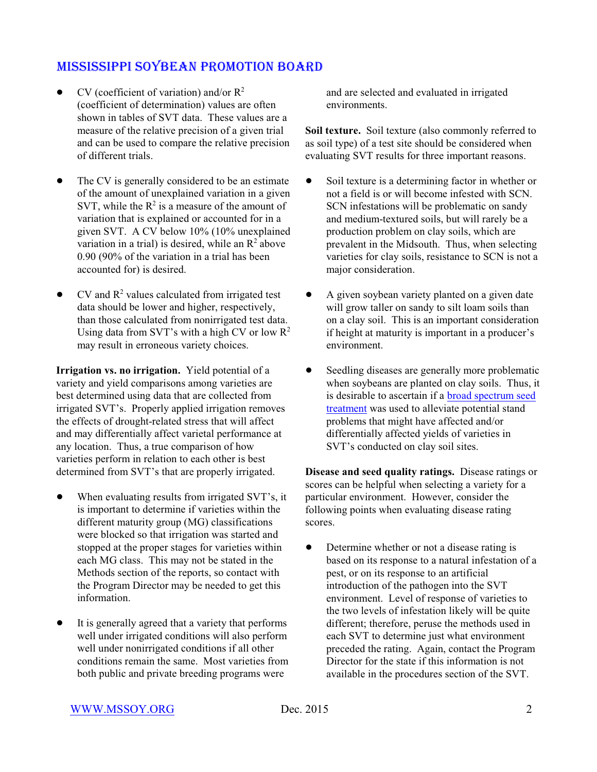- $\bullet$  CV (coefficient of variation) and/or  $\mathbb{R}^2$ (coefficient of determination) values are often shown in tables of SVT data. These values are a measure of the relative precision of a given trial and can be used to compare the relative precision of different trials.
- The CV is generally considered to be an estimate of the amount of unexplained variation in a given SVT, while the  $R^2$  is a measure of the amount of variation that is explained or accounted for in a given SVT. A CV below 10% (10% unexplained variation in a trial) is desired, while an  $R^2$  above 0.90 (90% of the variation in a trial has been accounted for) is desired.
- $\bullet$  CV and  $\mathbb{R}^2$  values calculated from irrigated test data should be lower and higher, respectively, than those calculated from nonirrigated test data. Using data from SVT's with a high CV or low  $\mathbb{R}^2$ may result in erroneous variety choices.

**Irrigation vs. no irrigation.** Yield potential of a variety and yield comparisons among varieties are best determined using data that are collected from irrigated SVT's. Properly applied irrigation removes the effects of drought-related stress that will affect and may differentially affect varietal performance at any location. Thus, a true comparison of how varieties perform in relation to each other is best determined from SVT's that are properly irrigated.

- When evaluating results from irrigated SVT's, it is important to determine if varieties within the different maturity group (MG) classifications were blocked so that irrigation was started and stopped at the proper stages for varieties within each MG class. This may not be stated in the Methods section of the reports, so contact with the Program Director may be needed to get this information.
- It is generally agreed that a variety that performs well under irrigated conditions will also perform well under nonirrigated conditions if all other conditions remain the same. Most varieties from both public and private breeding programs were

and are selected and evaluated in irrigated environments.

**Soil texture.** Soil texture (also commonly referred to as soil type) of a test site should be considered when evaluating SVT results for three important reasons.

- Soil texture is a determining factor in whether or not a field is or will become infested with SCN. SCN infestations will be problematic on sandy and medium-textured soils, but will rarely be a production problem on clay soils, which are prevalent in the Midsouth. Thus, when selecting varieties for clay soils, resistance to SCN is not a major consideration.
- A given soybean variety planted on a given date will grow taller on sandy to silt loam soils than on a clay soil. This is an important consideration if height at maturity is important in a producer's environment.
- Seedling diseases are generally more problematic when soybeans are planted on clay soils. Thus, it is desirable to ascertain if a [broad spectrum seed](http://mssoy.org/wp-content/uploads/2013/01/SEED-TREATMENTS-2013.pdf) [treatment](http://mssoy.org/wp-content/uploads/2013/01/SEED-TREATMENTS-2013.pdf) was used to alleviate potential stand problems that might have affected and/or differentially affected yields of varieties in SVT's conducted on clay soil sites.

**Disease and seed quality ratings.** Disease ratings or scores can be helpful when selecting a variety for a particular environment. However, consider the following points when evaluating disease rating scores.

• Determine whether or not a disease rating is based on its response to a natural infestation of a pest, or on its response to an artificial introduction of the pathogen into the SVT environment. Level of response of varieties to the two levels of infestation likely will be quite different; therefore, peruse the methods used in each SVT to determine just what environment preceded the rating. Again, contact the Program Director for the state if this information is not available in the procedures section of the SVT.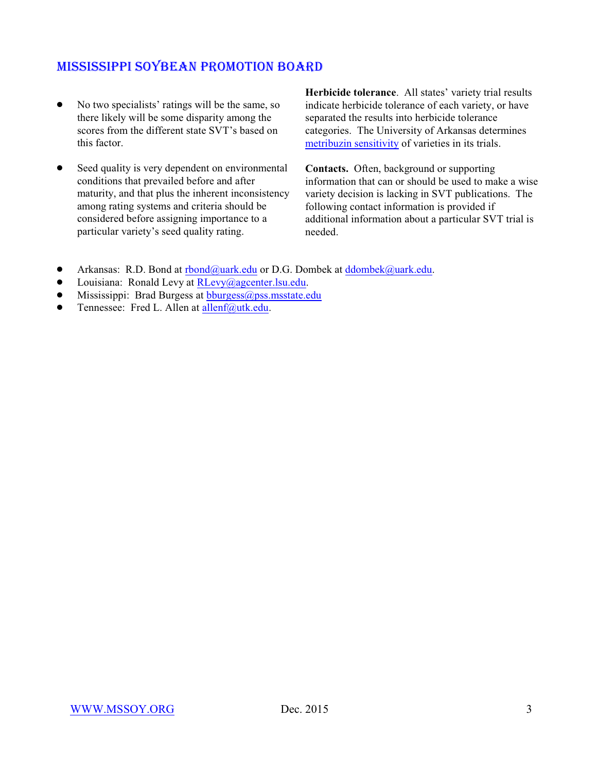- No two specialists' ratings will be the same, so there likely will be some disparity among the scores from the different state SVT's based on this factor.
- Seed quality is very dependent on environmental conditions that prevailed before and after maturity, and that plus the inherent inconsistency among rating systems and criteria should be considered before assigning importance to a particular variety's seed quality rating.

**Herbicide tolerance**. All states' variety trial results indicate herbicide tolerance of each variety, or have separated the results into herbicide tolerance categories. The University of Arkansas determines [metribuzin sensitivity](http://mssoy.org/wp-content/uploads/2014/12/2014-SOYBEAN-VARIETY-METRIBUZIN-SCREENING-UA1.pdf) of varieties in its trials.

**Contacts.** Often, background or supporting information that can or should be used to make a wise variety decision is lacking in SVT publications. The following contact information is provided if additional information about a particular SVT trial is needed.

- Arkansas: R.D. Bond at [rbond@uark.edu](mailto:rbond@uark.edu) or D.G. Dombek at [ddombek@uark.edu](mailto:ddombek@uark.edu).
- Louisiana: Ronald Levy at [RLevy@agcenter.lsu.edu](mailto:Rlevy@agcenter.lsu.edu).
- $\bullet$  Mississippi: Brad Burgess at [bburgess@pss.msstate.edu](mailto:bburgess@pss.msstate.edu)
- **•** Tennessee: Fred L. Allen at  $\frac{allenf(\partial u_t, h_t, \partial u_t)}{allenf(\partial u_t, h_t, \partial u_t)}$